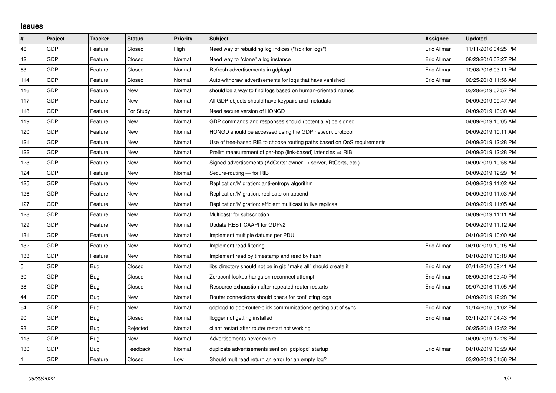## **Issues**

| $\vert$ #    | Project | <b>Tracker</b> | <b>Status</b> | <b>Priority</b> | <b>Subject</b>                                                             | Assignee    | <b>Updated</b>      |
|--------------|---------|----------------|---------------|-----------------|----------------------------------------------------------------------------|-------------|---------------------|
| 46           | GDP     | Feature        | Closed        | High            | Need way of rebuilding log indices ("fsck for logs")                       | Eric Allman | 11/11/2016 04:25 PM |
| 42           | GDP     | Feature        | Closed        | Normal          | Need way to "clone" a log instance                                         | Eric Allman | 08/23/2016 03:27 PM |
| 63           | GDP     | Feature        | Closed        | Normal          | Refresh advertisements in gdplogd                                          | Eric Allman | 10/08/2016 03:11 PM |
| 114          | GDP     | Feature        | Closed        | Normal          | Auto-withdraw advertisements for logs that have vanished                   | Eric Allman | 06/25/2018 11:56 AM |
| 116          | GDP     | Feature        | New           | Normal          | should be a way to find logs based on human-oriented names                 |             | 03/28/2019 07:57 PM |
| 117          | GDP     | Feature        | New           | Normal          | All GDP objects should have keypairs and metadata                          |             | 04/09/2019 09:47 AM |
| 118          | GDP     | Feature        | For Study     | Normal          | Need secure version of HONGD                                               |             | 04/09/2019 10:38 AM |
| 119          | GDP     | Feature        | New           | Normal          | GDP commands and responses should (potentially) be signed                  |             | 04/09/2019 10:05 AM |
| 120          | GDP     | Feature        | New           | Normal          | HONGD should be accessed using the GDP network protocol                    |             | 04/09/2019 10:11 AM |
| 121          | GDP     | Feature        | New           | Normal          | Use of tree-based RIB to choose routing paths based on QoS requirements    |             | 04/09/2019 12:28 PM |
| 122          | GDP     | Feature        | New           | Normal          | Prelim measurement of per-hop (link-based) latencies $\Rightarrow$ RIB     |             | 04/09/2019 12:28 PM |
| 123          | GDP     | Feature        | New           | Normal          | Signed advertisements (AdCerts: owner $\rightarrow$ server, RtCerts, etc.) |             | 04/09/2019 10:58 AM |
| 124          | GDP     | Feature        | New           | Normal          | Secure-routing - for RIB                                                   |             | 04/09/2019 12:29 PM |
| 125          | GDP     | Feature        | New           | Normal          | Replication/Migration: anti-entropy algorithm                              |             | 04/09/2019 11:02 AM |
| 126          | GDP     | Feature        | New           | Normal          | Replication/Migration: replicate on append                                 |             | 04/09/2019 11:03 AM |
| 127          | GDP     | Feature        | New           | Normal          | Replication/Migration: efficient multicast to live replicas                |             | 04/09/2019 11:05 AM |
| 128          | GDP     | Feature        | New           | Normal          | Multicast: for subscription                                                |             | 04/09/2019 11:11 AM |
| 129          | GDP     | Feature        | New           | Normal          | Update REST CAAPI for GDPv2                                                |             | 04/09/2019 11:12 AM |
| 131          | GDP     | Feature        | New           | Normal          | Implement multiple datums per PDU                                          |             | 04/10/2019 10:00 AM |
| 132          | GDP     | Feature        | New           | Normal          | Implement read filtering                                                   | Eric Allman | 04/10/2019 10:15 AM |
| 133          | GDP     | Feature        | New           | Normal          | Implement read by timestamp and read by hash                               |             | 04/10/2019 10:18 AM |
| 5            | GDP     | Bug            | Closed        | Normal          | libs directory should not be in git; "make all" should create it           | Eric Allman | 07/11/2016 09:41 AM |
| 30           | GDP     | Bug            | Closed        | Normal          | Zeroconf lookup hangs on reconnect attempt                                 | Eric Allman | 08/09/2016 03:40 PM |
| 38           | GDP     | Bug            | Closed        | Normal          | Resource exhaustion after repeated router restarts                         | Eric Allman | 09/07/2016 11:05 AM |
| 44           | GDP     | Bug            | New           | Normal          | Router connections should check for conflicting logs                       |             | 04/09/2019 12:28 PM |
| 64           | GDP     | Bug            | New           | Normal          | gdplogd to gdp-router-click communications getting out of sync             | Eric Allman | 10/14/2016 01:02 PM |
| 90           | GDP     | Bug            | Closed        | Normal          | llogger not getting installed                                              | Eric Allman | 03/11/2017 04:43 PM |
| 93           | GDP     | Bug            | Rejected      | Normal          | client restart after router restart not working                            |             | 06/25/2018 12:52 PM |
| 113          | GDP     | Bug            | New           | Normal          | Advertisements never expire                                                |             | 04/09/2019 12:28 PM |
| 130          | GDP     | Bug            | Feedback      | Normal          | duplicate advertisements sent on `gdplogd` startup                         | Eric Allman | 04/10/2019 10:29 AM |
| $\mathbf{1}$ | GDP     | Feature        | Closed        | Low             | Should multiread return an error for an empty log?                         |             | 03/20/2019 04:56 PM |